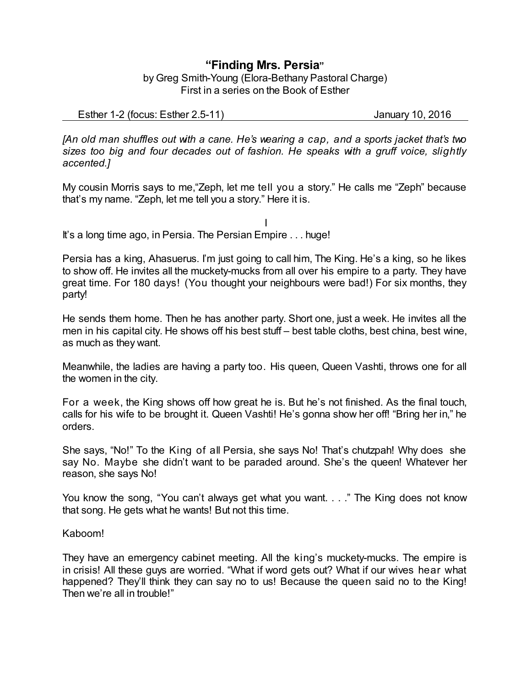## **"Finding Mrs. Persia"** by Greg Smith-Young (Elora-Bethany Pastoral Charge) First in a series on the Book of Esther

Esther 1-2 (focus: Esther 2.5-11) January 10, 2016

*[An old man shuffles out with a cane. He's wearing a cap, and a sports jacket that's two sizes too big and four decades out of fashion. He speaks with a gruff voice, slightly accented.]*

My cousin Morris says to me,"Zeph, let me tell you a story." He calls me "Zeph" because that's my name. "Zeph, let me tell you a story." Here it is.

I It's a long time ago, in Persia. The Persian Empire . . . huge!

Persia has a king, Ahasuerus. I'm just going to call him, The King. He's a king, so he likes to show off. He invites all the muckety-mucks from all over his empire to a party. They have great time. For 180 days! (You thought your neighbours were bad!) For six months, they party!

He sends them home. Then he has another party. Short one, just a week. He invites all the men in his capital city. He shows off his best stuff – best table cloths, best china, best wine, as much as they want.

Meanwhile, the ladies are having a party too. His queen, Queen Vashti, throws one for all the women in the city.

For a week, the King shows off how great he is. But he's not finished. As the final touch, calls for his wife to be brought it. Queen Vashti! He's gonna show her off! "Bring her in," he orders.

She says, "No!" To the King of all Persia, she says No! That's chutzpah! Why does she say No. Maybe she didn't want to be paraded around. She's the queen! Whatever her reason, she says No!

You know the song, "You can't always get what you want. . . ." The King does not know that song. He gets what he wants! But not this time.

## Kaboom!

They have an emergency cabinet meeting. All the king's muckety-mucks. The empire is in crisis! All these guys are worried. "What if word gets out? What if our wives hear what happened? They'll think they can say no to us! Because the queen said no to the King! Then we're all in trouble!"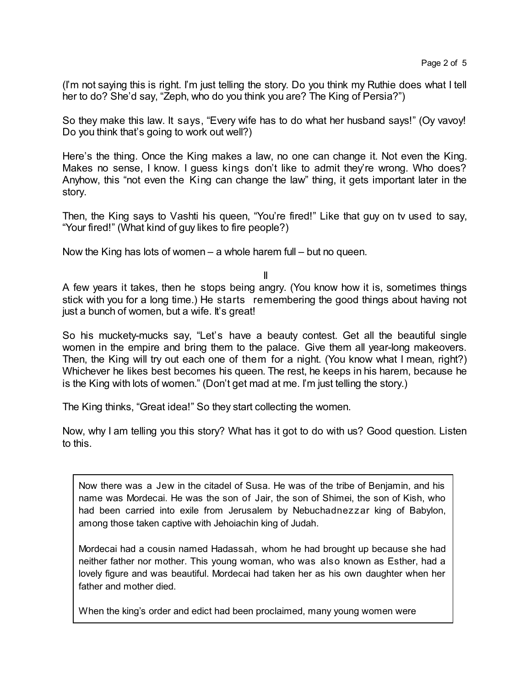(I'm not saying this is right. I'm just telling the story. Do you think my Ruthie does what I tell her to do? She'd say, "Zeph, who do you think you are? The King of Persia?")

So they make this law. It says, "Every wife has to do what her husband says!" (Oy vavoy! Do you think that's going to work out well?)

Here's the thing. Once the King makes a law, no one can change it. Not even the King. Makes no sense, I know. I guess kings don't like to admit they're wrong. Who does? Anyhow, this "not even the King can change the law" thing, it gets important later in the story.

Then, the King says to Vashti his queen, "You're fired!" Like that guy on tv used to say, "Your fired!" (What kind of guy likes to fire people?)

Now the King has lots of women – a whole harem full – but no queen.

II

A few years it takes, then he stops being angry. (You know how it is, sometimes things stick with you for a long time.) He starts remembering the good things about having not just a bunch of women, but a wife. It's great!

So his muckety-mucks say, "Let's have a beauty contest. Get all the beautiful single women in the empire and bring them to the palace. Give them all year-long makeovers. Then, the King will try out each one of them for a night. (You know what I mean, right?) Whichever he likes best becomes his queen. The rest, he keeps in his harem, because he is the King with lots of women." (Don't get mad at me. I'm just telling the story.)

The King thinks, "Great idea!" So they start collecting the women.

Now, why I am telling you this story? What has it got to do with us? Good question. Listen to this.

Now there was a Jew in the citadel of Susa. He was of the tribe of Benjamin, and his name was Mordecai. He was the son of Jair, the son of Shimei, the son of Kish, who had been carried into exile from Jerusalem by Nebuchadnezzar king of Babylon, among those taken captive with Jehoiachin king of Judah.

Mordecai had a cousin named Hadassah, whom he had brought up because she had neither father nor mother. This young woman, who was also known as Esther, had a lovely figure and was beautiful. Mordecai had taken her as his own daughter when her father and mother died.

When the king's order and edict had been proclaimed, many young women were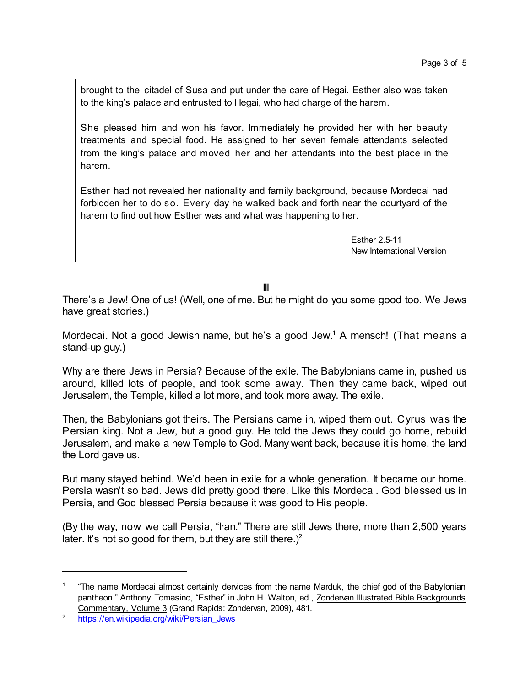brought to the citadel of Susa and put under the care of Hegai. Esther also was taken to the king's palace and entrusted to Hegai, who had charge of the harem.

She pleased him and won his favor. Immediately he provided her with her beauty treatments and special food. He assigned to her seven female attendants selected from the king's palace and moved her and her attendants into the best place in the harem.

Esther had not revealed her nationality and family background, because Mordecai had forbidden her to do so. Every day he walked back and forth near the courtyard of the harem to find out how Esther was and what was happening to her.

> Esther 2.5-11 New International Version

III

There's a Jew! One of us! (Well, one of me. But he might do you some good too. We Jews have great stories.)

Mordecai. Not a good Jewish name, but he's a good Jew. <sup>1</sup> A mensch! (That means a stand-up guy.)

Why are there Jews in Persia? Because of the exile. The Babylonians came in, pushed us around, killed lots of people, and took some away. Then they came back, wiped out Jerusalem, the Temple, killed a lot more, and took more away. The exile.

Then, the Babylonians got theirs. The Persians came in, wiped them out. Cyrus was the Persian king. Not a Jew, but a good guy. He told the Jews they could go home, rebuild Jerusalem, and make a new Temple to God. Many went back, because it is home, the land the Lord gave us.

But many stayed behind. We'd been in exile for a whole generation. It became our home. Persia wasn't so bad. Jews did pretty good there. Like this Mordecai. God blessed us in Persia, and God blessed Persia because it was good to His people.

(By the way, now we call Persia, "Iran." There are still Jews there, more than 2,500 years later. It's not so good for them, but they are still there.)<sup>2</sup>

<sup>1</sup> "The name Mordecai almost certainly dervices from the name Marduk, the chief god of the Babylonian pantheon." Anthony Tomasino, "Esther" in John H. Walton, ed., Zondervan Illustrated Bible Backgrounds Commentary, Volume 3 (Grand Rapids: Zondervan, 2009), 481.

<sup>&</sup>lt;sup>2</sup> [https://en.wikipedia.org/wiki/Persian\\_Jews](https://en.wikipedia.org/wiki/Persian_Jews)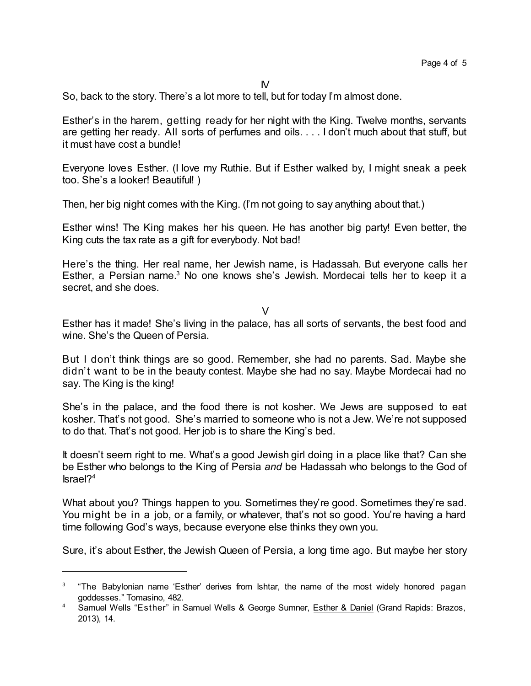So, back to the story. There's a lot more to tell, but for today I'm almost done.

Esther's in the harem, getting ready for her night with the King. Twelve months, servants are getting her ready. All sorts of perfumes and oils. . . . I don't much about that stuff, but it must have cost a bundle!

Everyone loves Esther. (I love my Ruthie. But if Esther walked by, I might sneak a peek too. She's a looker! Beautiful! )

Then, her big night comes with the King. (I'm not going to say anything about that.)

Esther wins! The King makes her his queen. He has another big party! Even better, the King cuts the tax rate as a gift for everybody. Not bad!

Here's the thing. Her real name, her Jewish name, is Hadassah. But everyone calls her Esther, a Persian name.<sup>3</sup> No one knows she's Jewish. Mordecai tells her to keep it a secret, and she does.

 $\overline{V}$ 

Esther has it made! She's living in the palace, has all sorts of servants, the best food and wine. She's the Queen of Persia.

But I don't think things are so good. Remember, she had no parents. Sad. Maybe she didn't want to be in the beauty contest. Maybe she had no say. Maybe Mordecai had no say. The King is the king!

She's in the palace, and the food there is not kosher. We Jews are supposed to eat kosher. That's not good. She's married to someone who is not a Jew. We're not supposed to do that. That's not good. Her job is to share the King's bed.

It doesn't seem right to me. What's a good Jewish girl doing in a place like that? Can she be Esther who belongs to the King of Persia *and* be Hadassah who belongs to the God of Israel? 4

What about you? Things happen to you. Sometimes they're good. Sometimes they're sad. You might be in a job, or a family, or whatever, that's not so good. You're having a hard time following God's ways, because everyone else thinks they own you.

Sure, it's about Esther, the Jewish Queen of Persia, a long time ago. But maybe her story

<sup>3</sup> "The Babylonian name 'Esther' derives from Ishtar, the name of the most widely honored pagan goddesses." Tomasino, 482.

<sup>4</sup> Samuel Wells "Esther" in Samuel Wells & George Sumner, **Esther & Daniel (Grand Rapids: Brazos**, 2013), 14.